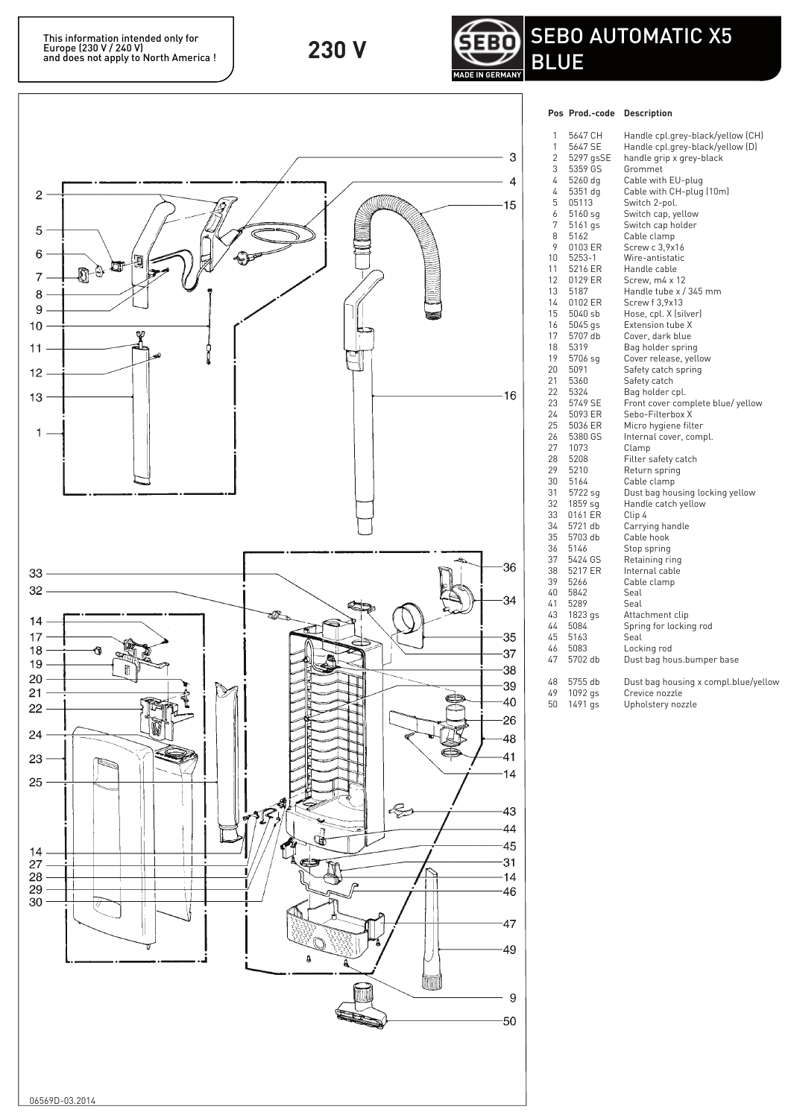

## **Pos Prod.-code Description**



| כט ו     | r rou.-coue        | <b>DESCRIPTION</b>                        |
|----------|--------------------|-------------------------------------------|
| 1        | 5647 CH            | Handle cpl.grey-black/yellow (CH)         |
| 1        | 5647 SE            | Handle cpl.grey-black/yellow (D)          |
| 2        | 5297 gsSE          | handle grip x grey-black                  |
| 3        | 5359 GS            | Grommet                                   |
| 4        | 5260 dg            | Cable with EU-plug                        |
| 4        | 5351 dg            | Cable with CH-plug (10m)                  |
| 5        | 05113              | Switch 2-pol.                             |
| 6        | 5160 sg            | Switch cap, yellow                        |
| 7        | 5161 gs            | Switch cap holder                         |
| 8        | 5162               | Cable clamp                               |
| 9        | 0103 ER            | Screw c 3,9x16                            |
| 10       | 5253-1             | Wire-antistatic                           |
| 11       | 5216 ER            | Handle cable                              |
| 12       | 0129 ER            | Screw, m4 x 12                            |
| 13       | 5187               | Handle tube x / 345 mm                    |
| 14       | 0102 ER            | Screw f 3,9x13                            |
| 15       | 5040 sb            | Hose, cpl. X (silver)                     |
| 16       | 5045 gs            | Extension tube X                          |
| 17       | 5707 db            | Cover, dark blue                          |
| 18       | 5319               | Bag holder spring                         |
| 19       | 5706 sg            | Cover release, yellow                     |
| 20       | 5091               | Safety catch spring                       |
| 21       | 5360               | Safety catch                              |
| 22       | 5324               | Bag holder cpl.                           |
| 23       | 5749 SE            | Front cover complete blue/yellow          |
| 24       | 5093 ER            | Sebo-Filterbox X                          |
| 25       | 5036 ER            | Micro hygiene filter                      |
| 26       | 5380 GS            | Internal cover, compl.                    |
| 27       | 1073               | Clamp                                     |
| 28       | 5208               | Filter safety catch                       |
| 29       | 5210               | Return spring                             |
| 30       | 5164               | Cable clamp                               |
| 31       | 5722 sg            | Dust bag housing locking yellow           |
| 32       | 1859 sg            | Handle catch yellow                       |
| 33       | 0161 ER            | Clip 4                                    |
| 34       | 5721 db            | Carrying handle                           |
| 35       | 5703 db            | Cable hook                                |
| 36       | 5146               | Stop spring                               |
| 37<br>38 | 5424 GS<br>5217 ER | Retaining ring                            |
| 39       | 5266               | Internal cable                            |
| 40       | 5842               | Cable clamp<br>Seal                       |
| 41       | 5289               | Seal                                      |
| 43       |                    |                                           |
| 44       | 1823 gs<br>5084    | Attachment clip<br>Spring for locking rod |
| 45       | 5163               | Seal                                      |
| 46       | 5083               | Locking rod                               |
| 47       | 5702 db            | Dust bag hous.bumper base                 |
|          |                    |                                           |
| 48       | 5755 db            | Dust bag housing x compl.blue/yellow      |
| 49       | 1092 gs            | Crevice nozzle                            |
| 50       | 1491 gs            | Upholstery nozzle                         |
|          |                    |                                           |